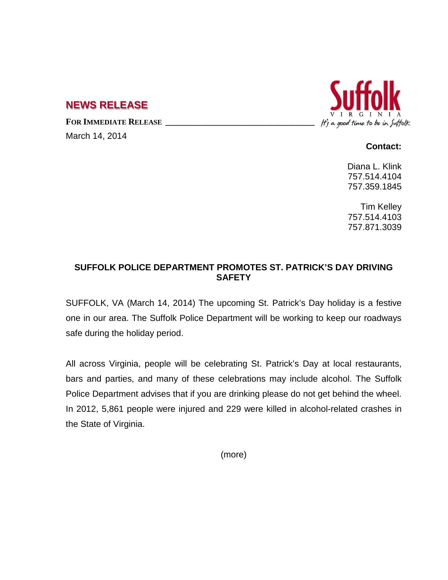## **NEWS RELEASE**

FOR **IMMEDIATE RELEASE** 

March 14, 2014



**Contact:**

Diana L. Klink 757.514.4104 757.359.1845

Tim Kelley 757.514.4103 757.871.3039

## **SUFFOLK POLICE DEPARTMENT PROMOTES ST. PATRICK'S DAY DRIVING SAFETY**

SUFFOLK, VA (March 14, 2014) The upcoming St. Patrick's Day holiday is a festive one in our area. The Suffolk Police Department will be working to keep our roadways safe during the holiday period.

All across Virginia, people will be celebrating St. Patrick's Day at local restaurants, bars and parties, and many of these celebrations may include alcohol. The Suffolk Police Department advises that if you are drinking please do not get behind the wheel. In 2012, 5,861 people were injured and 229 were killed in alcohol-related crashes in the State of Virginia.

(more)